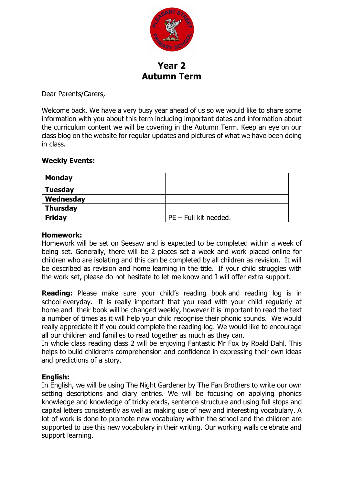

**Year 2 Autumn Term**

Dear Parents/Carers,

Welcome back. We have a very busy year ahead of us so we would like to share some information with you about this term including important dates and information about the curriculum content we will be covering in the Autumn Term. Keep an eye on our class blog on the website for regular updates and pictures of what we have been doing in class.

### **Weekly Events:**

| <b>Monday</b>   |                         |
|-----------------|-------------------------|
| <b>Tuesday</b>  |                         |
| Wednesday       |                         |
| <b>Thursday</b> |                         |
| <b>Friday</b>   | $PE$ – Full kit needed. |

### **Homework:**

Homework will be set on Seesaw and is expected to be completed within a week of being set. Generally, there will be 2 pieces set a week and work placed online for children who are isolating and this can be completed by all children as revision. It will be described as revision and home learning in the title. If your child struggles with the work set, please do not hesitate to let me know and I will offer extra support.

**Reading:** Please make sure your child's reading book and reading log is in school everyday. It is really important that you read with your child regularly at home and their book will be changed weekly, however it is important to read the text a number of times as it will help your child recognise their phonic sounds. We would really appreciate it if you could complete the reading log. We would like to encourage all our children and families to read together as much as they can.

In whole class reading class 2 will be enjoying Fantastic Mr Fox by Roald Dahl. This helps to build children's comprehension and confidence in expressing their own ideas and predictions of a story.

### **English:**

In English, we will be using The Night Gardener by The Fan Brothers to write our own setting descriptions and diary entries. We will be focusing on applying phonics knowledge and knowledge of tricky eords, sentence structure and using full stops and capital letters consistently as well as making use of new and interesting vocabulary. A lot of work is done to promote new vocabulary within the school and the children are supported to use this new vocabulary in their writing. Our working walls celebrate and support learning.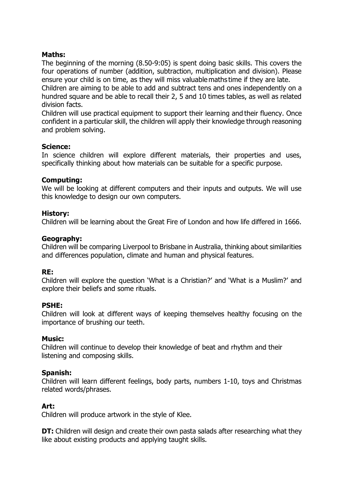# **Maths:**

The beginning of the morning (8.50-9:05) is spent doing basic skills. This covers the four operations of number (addition, subtraction, multiplication and division). Please ensure your child is on time, as they will miss valuable maths time if they are late.  Children are aiming to be able to add and subtract tens and ones independently on a hundred square and be able to recall their 2, 5 and 10 times tables, as well as related division facts.

Children will use practical equipment to support their learning and their fluency. Once confident in a particular skill, the children will apply their knowledge through reasoning and problem solving.

## **Science:**

In science children will explore different materials, their properties and uses, specifically thinking about how materials can be suitable for a specific purpose.

### **Computing:**

We will be looking at different computers and their inputs and outputs. We will use this knowledge to design our own computers.

### **History:**

Children will be learning about the Great Fire of London and how life differed in 1666.

### **Geography:**

Children will be comparing Liverpool to Brisbane in Australia, thinking about similarities and differences population, climate and human and physical features.

### **RE:**

Children will explore the question 'What is a Christian?' and 'What is a Muslim?' and explore their beliefs and some rituals.

### **PSHE:**

Children will look at different ways of keeping themselves healthy focusing on the importance of brushing our teeth.

### **Music:**

Children will continue to develop their knowledge of beat and rhythm and their listening and composing skills.

## **Spanish:**

Children will learn different feelings, body parts, numbers 1-10, toys and Christmas related words/phrases.

### **Art:**

Children will produce artwork in the style of Klee.

**DT:** Children will design and create their own pasta salads after researching what they like about existing products and applying taught skills.